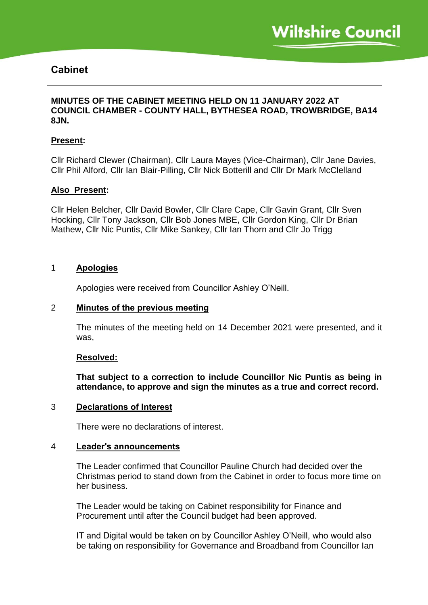# **Cabinet**

# **MINUTES OF THE CABINET MEETING HELD ON 11 JANUARY 2022 AT COUNCIL CHAMBER - COUNTY HALL, BYTHESEA ROAD, TROWBRIDGE, BA14 8JN.**

## **Present:**

Cllr Richard Clewer (Chairman), Cllr Laura Mayes (Vice-Chairman), Cllr Jane Davies, Cllr Phil Alford, Cllr Ian Blair-Pilling, Cllr Nick Botterill and Cllr Dr Mark McClelland

## **Also Present:**

Cllr Helen Belcher, Cllr David Bowler, Cllr Clare Cape, Cllr Gavin Grant, Cllr Sven Hocking, Cllr Tony Jackson, Cllr Bob Jones MBE, Cllr Gordon King, Cllr Dr Brian Mathew, Cllr Nic Puntis, Cllr Mike Sankey, Cllr Ian Thorn and Cllr Jo Trigg

## 1 **Apologies**

Apologies were received from Councillor Ashley O'Neill.

#### 2 **Minutes of the previous meeting**

The minutes of the meeting held on 14 December 2021 were presented, and it was,

#### **Resolved:**

**That subject to a correction to include Councillor Nic Puntis as being in attendance, to approve and sign the minutes as a true and correct record.**

# 3 **Declarations of Interest**

There were no declarations of interest.

## 4 **Leader's announcements**

The Leader confirmed that Councillor Pauline Church had decided over the Christmas period to stand down from the Cabinet in order to focus more time on her business.

The Leader would be taking on Cabinet responsibility for Finance and Procurement until after the Council budget had been approved.

IT and Digital would be taken on by Councillor Ashley O'Neill, who would also be taking on responsibility for Governance and Broadband from Councillor Ian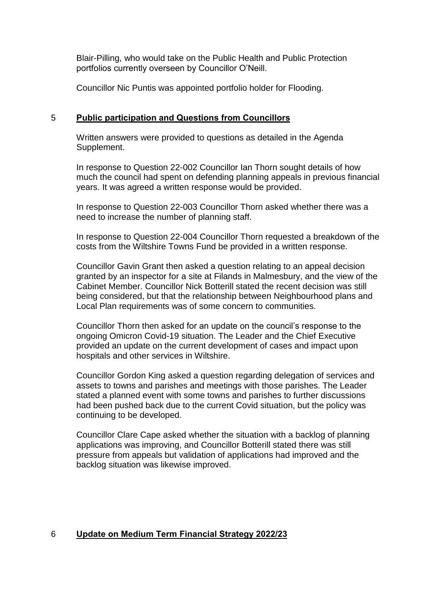Blair-Pilling, who would take on the Public Health and Public Protection portfolios currently overseen by Councillor O'Neill.

Councillor Nic Puntis was appointed portfolio holder for Flooding.

# 5 **Public participation and Questions from Councillors**

Written answers were provided to questions as detailed in the Agenda Supplement.

In response to Question 22-002 Councillor Ian Thorn sought details of how much the council had spent on defending planning appeals in previous financial years. It was agreed a written response would be provided.

In response to Question 22-003 Councillor Thorn asked whether there was a need to increase the number of planning staff.

In response to Question 22-004 Councillor Thorn requested a breakdown of the costs from the Wiltshire Towns Fund be provided in a written response.

Councillor Gavin Grant then asked a question relating to an appeal decision granted by an inspector for a site at Filands in Malmesbury, and the view of the Cabinet Member. Councillor Nick Botterill stated the recent decision was still being considered, but that the relationship between Neighbourhood plans and Local Plan requirements was of some concern to communities.

Councillor Thorn then asked for an update on the council's response to the ongoing Omicron Covid-19 situation. The Leader and the Chief Executive provided an update on the current development of cases and impact upon hospitals and other services in Wiltshire.

Councillor Gordon King asked a question regarding delegation of services and assets to towns and parishes and meetings with those parishes. The Leader stated a planned event with some towns and parishes to further discussions had been pushed back due to the current Covid situation, but the policy was continuing to be developed.

Councillor Clare Cape asked whether the situation with a backlog of planning applications was improving, and Councillor Botterill stated there was still pressure from appeals but validation of applications had improved and the backlog situation was likewise improved.

# 6 **Update on Medium Term Financial Strategy 2022/23**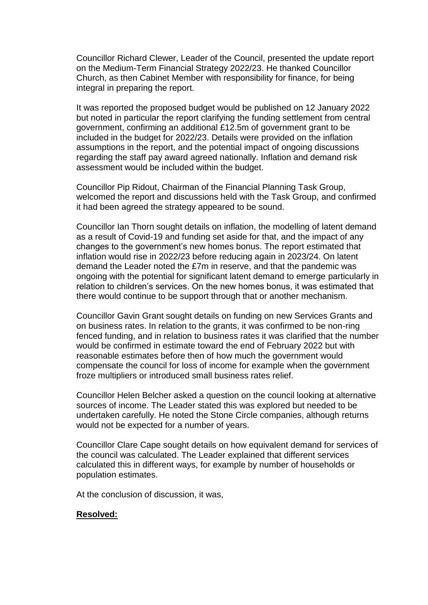Councillor Richard Clewer, Leader of the Council, presented the update report on the Medium-Term Financial Strategy 2022/23. He thanked Councillor Church, as then Cabinet Member with responsibility for finance, for being integral in preparing the report.

It was reported the proposed budget would be published on 12 January 2022 but noted in particular the report clarifying the funding settlement from central government, confirming an additional £12.5m of government grant to be included in the budget for 2022/23. Details were provided on the inflation assumptions in the report, and the potential impact of ongoing discussions regarding the staff pay award agreed nationally. Inflation and demand risk assessment would be included within the budget.

Councillor Pip Ridout, Chairman of the Financial Planning Task Group, welcomed the report and discussions held with the Task Group, and confirmed it had been agreed the strategy appeared to be sound.

Councillor Ian Thorn sought details on inflation, the modelling of latent demand as a result of Covid-19 and funding set aside for that, and the impact of any changes to the government's new homes bonus. The report estimated that inflation would rise in 2022/23 before reducing again in 2023/24. On latent demand the Leader noted the £7m in reserve, and that the pandemic was ongoing with the potential for significant latent demand to emerge particularly in relation to children's services. On the new homes bonus, it was estimated that there would continue to be support through that or another mechanism.

Councillor Gavin Grant sought details on funding on new Services Grants and on business rates. In relation to the grants, it was confirmed to be non-ring fenced funding, and in relation to business rates it was clarified that the number would be confirmed in estimate toward the end of February 2022 but with reasonable estimates before then of how much the government would compensate the council for loss of income for example when the government froze multipliers or introduced small business rates relief.

Councillor Helen Belcher asked a question on the council looking at alternative sources of income. The Leader stated this was explored but needed to be undertaken carefully. He noted the Stone Circle companies, although returns would not be expected for a number of years.

Councillor Clare Cape sought details on how equivalent demand for services of the council was calculated. The Leader explained that different services calculated this in different ways, for example by number of households or population estimates.

At the conclusion of discussion, it was,

#### **Resolved:**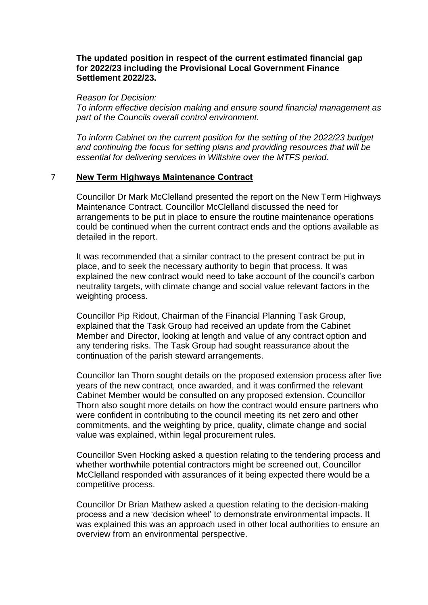## **The updated position in respect of the current estimated financial gap for 2022/23 including the Provisional Local Government Finance Settlement 2022/23.**

*Reason for Decision:* 

*To inform effective decision making and ensure sound financial management as part of the Councils overall control environment.*

*To inform Cabinet on the current position for the setting of the 2022/23 budget and continuing the focus for setting plans and providing resources that will be essential for delivering services in Wiltshire over the MTFS period.*

# 7 **New Term Highways Maintenance Contract**

Councillor Dr Mark McClelland presented the report on the New Term Highways Maintenance Contract. Councillor McClelland discussed the need for arrangements to be put in place to ensure the routine maintenance operations could be continued when the current contract ends and the options available as detailed in the report.

It was recommended that a similar contract to the present contract be put in place, and to seek the necessary authority to begin that process. It was explained the new contract would need to take account of the council's carbon neutrality targets, with climate change and social value relevant factors in the weighting process.

Councillor Pip Ridout, Chairman of the Financial Planning Task Group, explained that the Task Group had received an update from the Cabinet Member and Director, looking at length and value of any contract option and any tendering risks. The Task Group had sought reassurance about the continuation of the parish steward arrangements.

Councillor Ian Thorn sought details on the proposed extension process after five years of the new contract, once awarded, and it was confirmed the relevant Cabinet Member would be consulted on any proposed extension. Councillor Thorn also sought more details on how the contract would ensure partners who were confident in contributing to the council meeting its net zero and other commitments, and the weighting by price, quality, climate change and social value was explained, within legal procurement rules.

Councillor Sven Hocking asked a question relating to the tendering process and whether worthwhile potential contractors might be screened out, Councillor McClelland responded with assurances of it being expected there would be a competitive process.

Councillor Dr Brian Mathew asked a question relating to the decision-making process and a new 'decision wheel' to demonstrate environmental impacts. It was explained this was an approach used in other local authorities to ensure an overview from an environmental perspective.